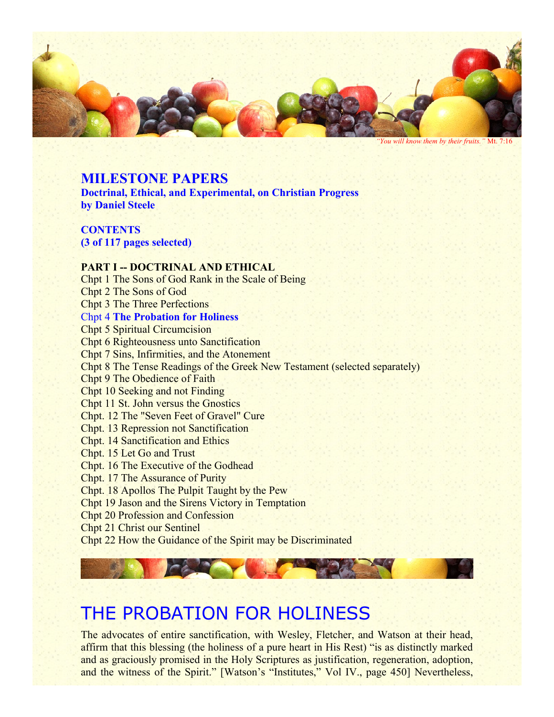

*"You will know them by their fruits."* Mt. 7:16

## **MILESTONE PAPERS**

**Doctrinal, Ethical, and Experimental, on Christian Progress by Daniel Steele**

**CONTENTS (3 of 117 pages selected)**

## **PART I -- DOCTRINAL AND ETHICAL**

Chpt 1 The Sons of God Rank in the Scale of Being Chpt 2 The Sons of God Chpt 3 The Three Perfections Chpt 4 **The Probation for Holiness** Chpt 5 Spiritual Circumcision Chpt 6 Righteousness unto Sanctification Chpt 7 Sins, Infirmities, and the Atonement Chpt 8 The Tense Readings of the Greek New Testament (selected separately) Chpt 9 The Obedience of Faith Chpt 10 Seeking and not Finding Chpt 11 St. John versus the Gnostics Chpt. 12 The "Seven Feet of Gravel" Cure Chpt. 13 Repression not Sanctification Chpt. 14 Sanctification and Ethics Chpt. 15 Let Go and Trust Chpt. 16 The Executive of the Godhead Chpt. 17 The Assurance of Purity Chpt. 18 Apollos The Pulpit Taught by the Pew Chpt 19 Jason and the Sirens Victory in Temptation Chpt 20 Profession and Confession Chpt 21 Christ our Sentinel Chpt 22 How the Guidance of the Spirit may be Discriminated

## THE PROBATION FOR HOLINESS

The advocates of entire sanctification, with Wesley, Fletcher, and Watson at their head, affirm that this blessing (the holiness of a pure heart in His Rest) "is as distinctly marked and as graciously promised in the Holy Scriptures as justification, regeneration, adoption, and the witness of the Spirit." [Watson's "Institutes," Vol IV., page 450] Nevertheless,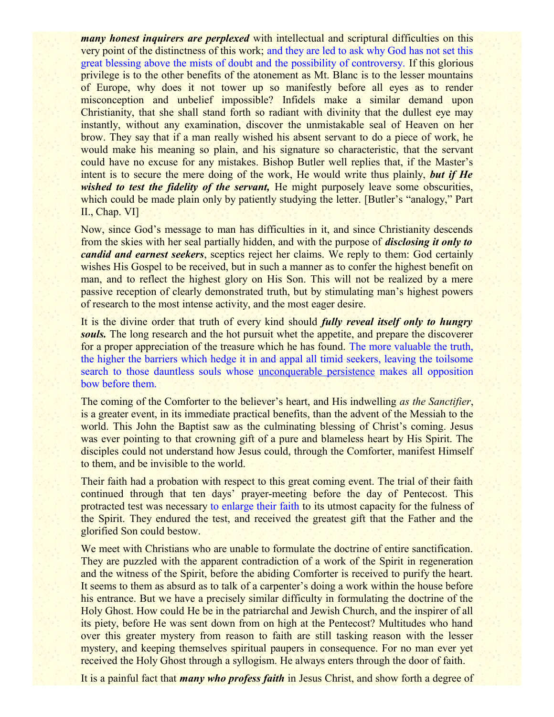*many honest inquirers are perplexed* with intellectual and scriptural difficulties on this very point of the distinctness of this work; and they are led to ask why God has not set this great blessing above the mists of doubt and the possibility of controversy. If this glorious privilege is to the other benefits of the atonement as Mt. Blanc is to the lesser mountains of Europe, why does it not tower up so manifestly before all eyes as to render misconception and unbelief impossible? Infidels make a similar demand upon Christianity, that she shall stand forth so radiant with divinity that the dullest eye may instantly, without any examination, discover the unmistakable seal of Heaven on her brow. They say that if a man really wished his absent servant to do a piece of work, he would make his meaning so plain, and his signature so characteristic, that the servant could have no excuse for any mistakes. Bishop Butler well replies that, if the Master's intent is to secure the mere doing of the work, He would write thus plainly, *but if He wished to test the fidelity of the servant*, He might purposely leave some obscurities, which could be made plain only by patiently studying the letter. [Butler's "analogy," Part II., Chap. VI]

Now, since God's message to man has difficulties in it, and since Christianity descends from the skies with her seal partially hidden, and with the purpose of *disclosing it only to candid and earnest seekers*, sceptics reject her claims. We reply to them: God certainly wishes His Gospel to be received, but in such a manner as to confer the highest benefit on man, and to reflect the highest glory on His Son. This will not be realized by a mere passive reception of clearly demonstrated truth, but by stimulating man's highest powers of research to the most intense activity, and the most eager desire.

It is the divine order that truth of every kind should *fully reveal itself only to hungry* **souls.** The long research and the hot pursuit whet the appetite, and prepare the discoverer for a proper appreciation of the treasure which he has found. The more valuable the truth, the higher the barriers which hedge it in and appal all timid seekers, leaving the toilsome search to those dauntless souls whose unconquerable persistence makes all opposition bow before them.

The coming of the Comforter to the believer's heart, and His indwelling *as the Sanctifier*, is a greater event, in its immediate practical benefits, than the advent of the Messiah to the world. This John the Baptist saw as the culminating blessing of Christ's coming. Jesus was ever pointing to that crowning gift of a pure and blameless heart by His Spirit. The disciples could not understand how Jesus could, through the Comforter, manifest Himself to them, and be invisible to the world.

Their faith had a probation with respect to this great coming event. The trial of their faith continued through that ten days' prayer-meeting before the day of Pentecost. This protracted test was necessary to enlarge their faith to its utmost capacity for the fulness of the Spirit. They endured the test, and received the greatest gift that the Father and the glorified Son could bestow.

We meet with Christians who are unable to formulate the doctrine of entire sanctification. They are puzzled with the apparent contradiction of a work of the Spirit in regeneration and the witness of the Spirit, before the abiding Comforter is received to purify the heart. It seems to them as absurd as to talk of a carpenter's doing a work within the house before his entrance. But we have a precisely similar difficulty in formulating the doctrine of the Holy Ghost. How could He be in the patriarchal and Jewish Church, and the inspirer of all its piety, before He was sent down from on high at the Pentecost? Multitudes who hand over this greater mystery from reason to faith are still tasking reason with the lesser mystery, and keeping themselves spiritual paupers in consequence. For no man ever yet received the Holy Ghost through a syllogism. He always enters through the door of faith.

It is a painful fact that *many who profess faith* in Jesus Christ, and show forth a degree of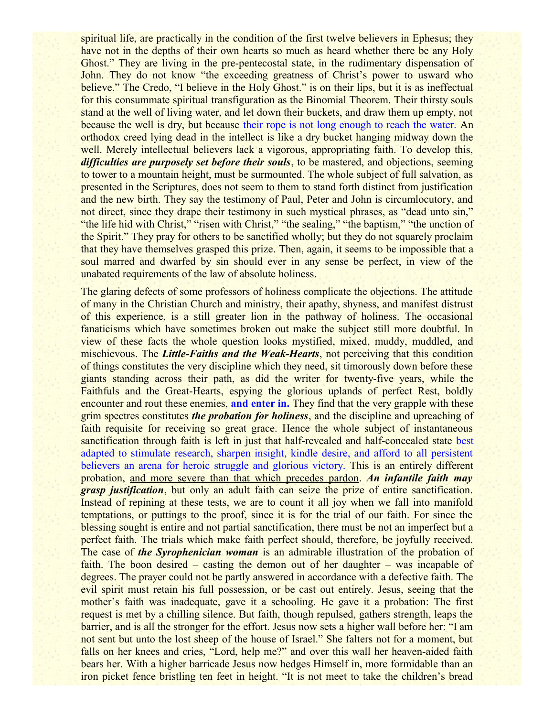spiritual life, are practically in the condition of the first twelve believers in Ephesus; they have not in the depths of their own hearts so much as heard whether there be any Holy Ghost." They are living in the pre-pentecostal state, in the rudimentary dispensation of John. They do not know "the exceeding greatness of Christ's power to usward who believe." The Credo, "I believe in the Holy Ghost." is on their lips, but it is as ineffectual for this consummate spiritual transfiguration as the Binomial Theorem. Their thirsty souls stand at the well of living water, and let down their buckets, and draw them up empty, not because the well is dry, but because their rope is not long enough to reach the water. An orthodox creed lying dead in the intellect is like a dry bucket hanging midway down the well. Merely intellectual believers lack a vigorous, appropriating faith. To develop this, *difficulties are purposely set before their souls*, to be mastered, and objections, seeming to tower to a mountain height, must be surmounted. The whole subject of full salvation, as presented in the Scriptures, does not seem to them to stand forth distinct from justification and the new birth. They say the testimony of Paul, Peter and John is circumlocutory, and not direct, since they drape their testimony in such mystical phrases, as "dead unto sin," "the life hid with Christ," "risen with Christ," "the sealing," "the baptism," "the unction of the Spirit." They pray for others to be sanctified wholly; but they do not squarely proclaim that they have themselves grasped this prize. Then, again, it seems to be impossible that a soul marred and dwarfed by sin should ever in any sense be perfect, in view of the unabated requirements of the law of absolute holiness.

The glaring defects of some professors of holiness complicate the objections. The attitude of many in the Christian Church and ministry, their apathy, shyness, and manifest distrust of this experience, is a still greater lion in the pathway of holiness. The occasional fanaticisms which have sometimes broken out make the subject still more doubtful. In view of these facts the whole question looks mystified, mixed, muddy, muddled, and mischievous. The *Little-Faiths and the Weak-Hearts*, not perceiving that this condition of things constitutes the very discipline which they need, sit timorously down before these giants standing across their path, as did the writer for twenty-five years, while the Faithfuls and the Great-Hearts, espying the glorious uplands of perfect Rest, boldly encounter and rout these enemies, **and enter in.** They find that the very grapple with these grim spectres constitutes *the probation for holiness*, and the discipline and upreaching of faith requisite for receiving so great grace. Hence the whole subject of instantaneous sanctification through faith is left in just that half-revealed and half-concealed state best adapted to stimulate research, sharpen insight, kindle desire, and afford to all persistent believers an arena for heroic struggle and glorious victory. This is an entirely different probation, and more severe than that which precedes pardon. *An infantile faith may grasp justification*, but only an adult faith can seize the prize of entire sanctification. Instead of repining at these tests, we are to count it all joy when we fall into manifold temptations, or puttings to the proof, since it is for the trial of our faith. For since the blessing sought is entire and not partial sanctification, there must be not an imperfect but a perfect faith. The trials which make faith perfect should, therefore, be joyfully received. The case of *the Syrophenician woman* is an admirable illustration of the probation of faith. The boon desired – casting the demon out of her daughter – was incapable of degrees. The prayer could not be partly answered in accordance with a defective faith. The evil spirit must retain his full possession, or be cast out entirely. Jesus, seeing that the mother's faith was inadequate, gave it a schooling. He gave it a probation: The first request is met by a chilling silence. But faith, though repulsed, gathers strength, leaps the barrier, and is all the stronger for the effort. Jesus now sets a higher wall before her: "I am not sent but unto the lost sheep of the house of Israel." She falters not for a moment, but falls on her knees and cries, "Lord, help me?" and over this wall her heaven-aided faith bears her. With a higher barricade Jesus now hedges Himself in, more formidable than an iron picket fence bristling ten feet in height. "It is not meet to take the children's bread